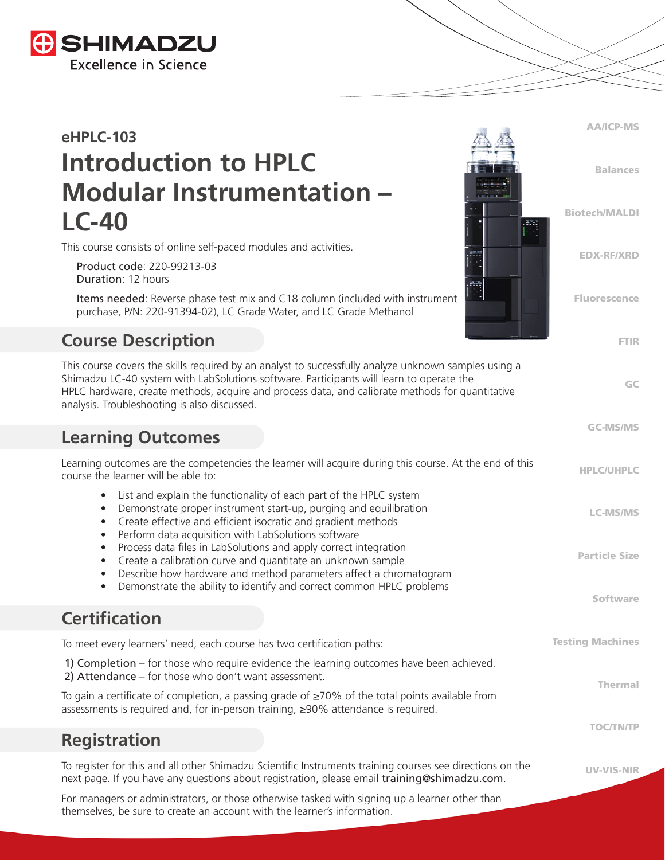

# **eHPLC-103 Introduction to HPLC Modular Instrumentation – LC-40**

This course consists of online self-paced modules and activities.

 Product code: 220-99213-03 Duration: 12 hours

 Items needed: Reverse phase test mix and C18 column (included with instrument purchase, P/N: 220-91394-02), LC Grade Water, and LC Grade Methanol

## **Course Description**

This course covers the skills required by an analyst to successfully analyze unknown samples using a Shimadzu LC-40 system with LabSolutions software. Participants will learn to operate the HPLC hardware, create methods, acquire and process data, and calibrate methods for quantitative analysis. Troubleshooting is also discussed.

#### **Learning Outcomes**

HPLC/UHPLC LC-MS/MS Particle Size Software Learning outcomes are the competencies the learner will acquire during this course. At the end of this course the learner will be able to: • List and explain the functionality of each part of the HPLC system • Demonstrate proper instrument start-up, purging and equilibration • Create effective and efficient isocratic and gradient methods • Perform data acquisition with LabSolutions software • Process data files in LabSolutions and apply correct integration • Create a calibration curve and quantitate an unknown sample • Describe how hardware and method parameters affect a chromatogram • Demonstrate the ability to identify and correct common HPLC problems **Certification**

AA/ICP-MS

Balances

Biotech/MALDI

EDX-RF/XRD

Fluorescence

FTIR

GC

GC-MS/MS

UV-VIS-NIR

Testing Machines Thermal TOC/TN/TP To meet every learners' need, each course has two certification paths: 1) Completion – for those who require evidence the learning outcomes have been achieved. 2) Attendance – for those who don't want assessment. To gain a certificate of completion, a passing grade of ≥70% of the total points available from assessments is required and, for in-person training, ≥90% attendance is required.

#### **Registration**

To register for this and all other Shimadzu Scientific Instruments training courses see directions on the next page. If you have any questions about registration, please email training@shimadzu.com.

For managers or administrators, or those otherwise tasked with signing up a learner other than themselves, be sure to create an account with the learner's information.